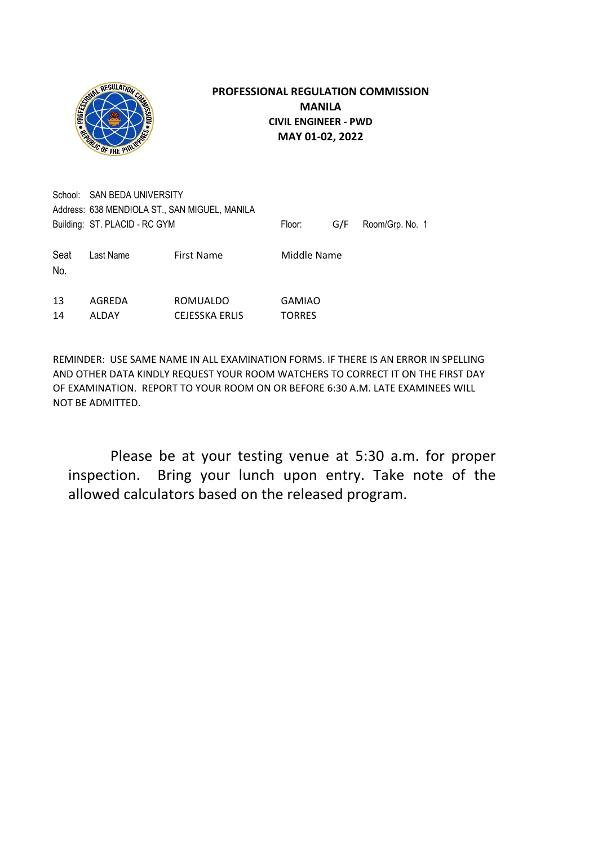

School: SAN BEDA UNIVERSITY Address: 638 MENDIOLA ST., SAN MIGUEL, MANILA Building: ST. PLACID - RC GYM Floor: G/F Room/Grp. No. 1 Seat Last Name First Name Middle Name No. 13 AGREDA ROMUALDO GAMIAO 14 ALDAY CEJESSKA ERLIS TORRES

REMINDER: USE SAME NAME IN ALL EXAMINATION FORMS. IF THERE IS AN ERROR IN SPELLING AND OTHER DATA KINDLY REQUEST YOUR ROOM WATCHERS TO CORRECT IT ON THE FIRST DAY OF EXAMINATION. REPORT TO YOUR ROOM ON OR BEFORE 6:30 A.M. LATE EXAMINEES WILL NOT BE ADMITTED.

 Please be at your testing venue at 5:30 a.m. for proper inspection. Bring your lunch upon entry. Take note of the allowed calculators based on the released program.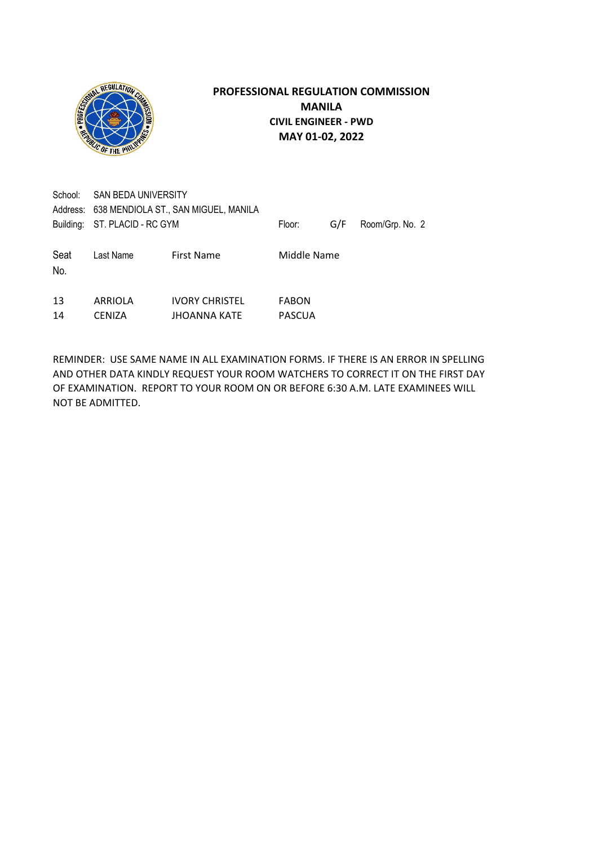

| School:     | SAN BEDA UNIVERSITY<br>Address: 638 MENDIOLA ST., SAN MIGUEL, MANILA<br>Building: ST. PLACID - RC GYM |                                              | Floor:                        | G/F | Room/Grp. No. 2 |
|-------------|-------------------------------------------------------------------------------------------------------|----------------------------------------------|-------------------------------|-----|-----------------|
| Seat<br>No. | Last Name                                                                                             | <b>First Name</b>                            | Middle Name                   |     |                 |
| 13<br>14    | ARRIOLA<br><b>CENIZA</b>                                                                              | <b>IVORY CHRISTEL</b><br><b>JHOANNA KATE</b> | <b>FABON</b><br><b>PASCUA</b> |     |                 |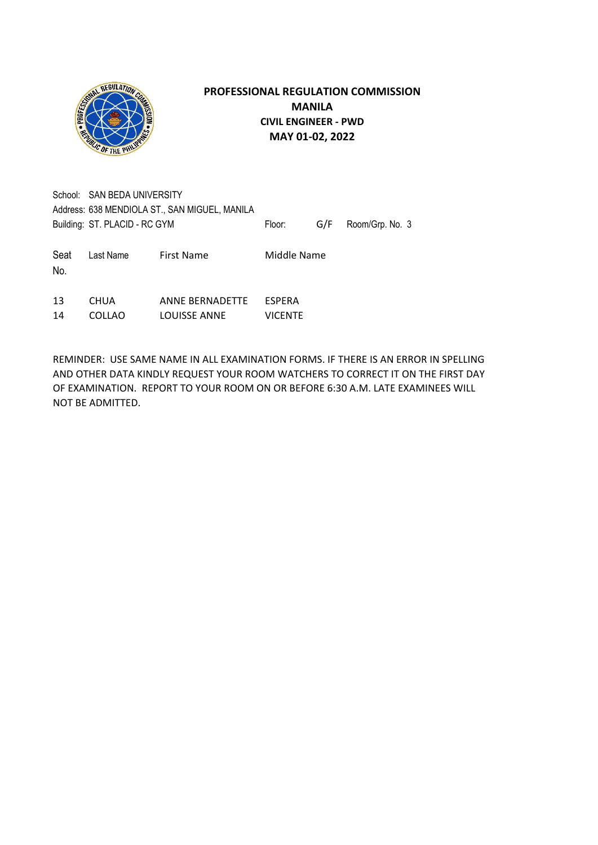

School: SAN BEDA UNIVERSITY Address: 638 MENDIOLA ST., SAN MIGUEL, MANILA Building: ST. PLACID - RC GYM Floor: G/F Room/Grp. No. 3 Seat Last Name First Name Middle Name No.

| 13 | <b>CHUA</b>   | ANNE BERNADETTE | ESPERA         |
|----|---------------|-----------------|----------------|
| 14 | <b>COLLAO</b> | LOUISSE ANNE    | <b>VICENTE</b> |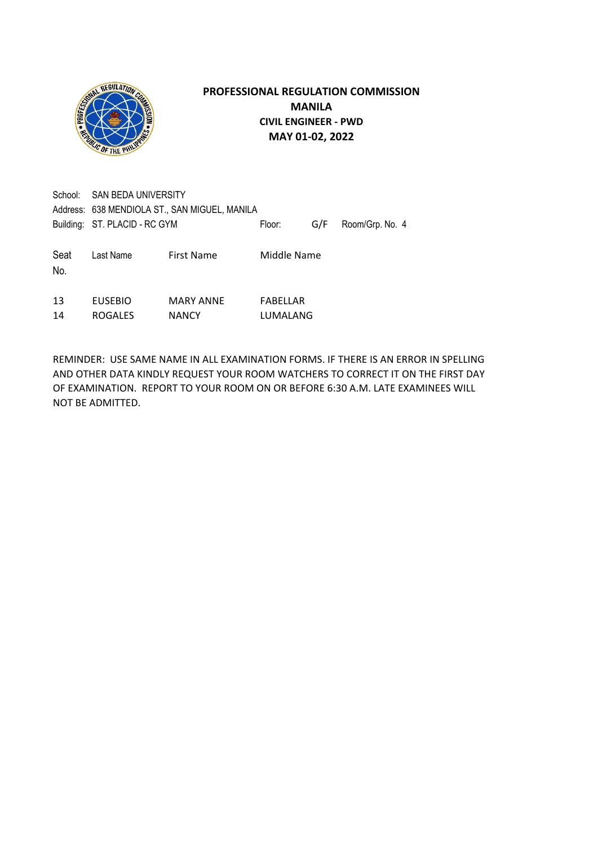

| School:     | SAN BEDA UNIVERSITY<br>Address: 638 MENDIOLA ST., SAN MIGUEL, MANILA |                                  |                      |     |                 |
|-------------|----------------------------------------------------------------------|----------------------------------|----------------------|-----|-----------------|
|             | Building: ST. PLACID - RC GYM                                        |                                  | Floor:               | G/F | Room/Grp. No. 4 |
| Seat<br>No. | Last Name                                                            | First Name                       | Middle Name          |     |                 |
| 13<br>14    | <b>EUSEBIO</b><br><b>ROGALES</b>                                     | <b>MARY ANNE</b><br><b>NANCY</b> | FABELLAR<br>LUMALANG |     |                 |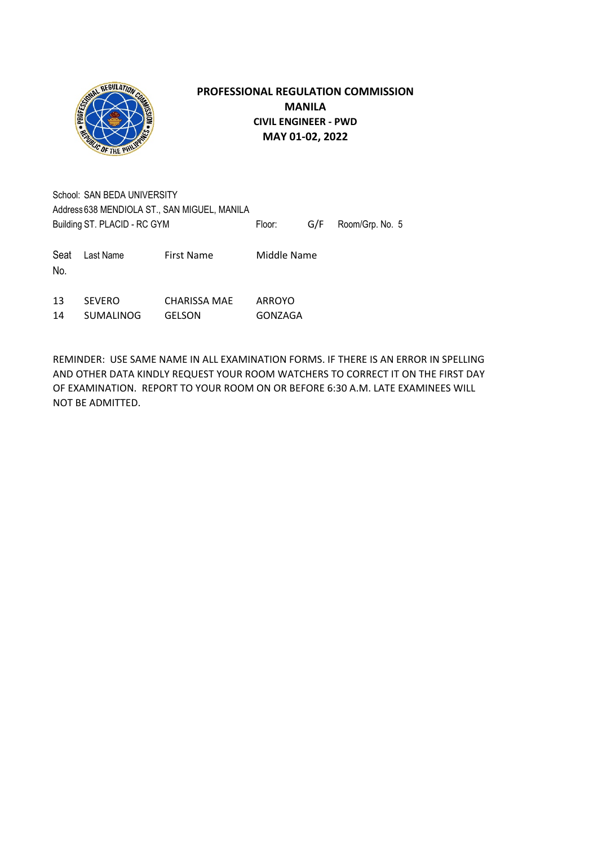

|                                              | School: SAN BEDA UNIVERSITY |                   |             |  |                     |  |
|----------------------------------------------|-----------------------------|-------------------|-------------|--|---------------------|--|
| Address 638 MENDIOLA ST., SAN MIGUEL, MANILA |                             |                   |             |  |                     |  |
| Building ST. PLACID - RC GYM                 |                             |                   | Floor:      |  | G/F Room/Grp. No. 5 |  |
| Seat<br>No.                                  | Last Name                   | <b>First Name</b> | Middle Name |  |                     |  |

| 13 | <b>SEVERO</b>    | CHARISSA MAE  | ARROYO  |
|----|------------------|---------------|---------|
| 14 | <b>SUMALINOG</b> | <b>GELSON</b> | GONZAGA |